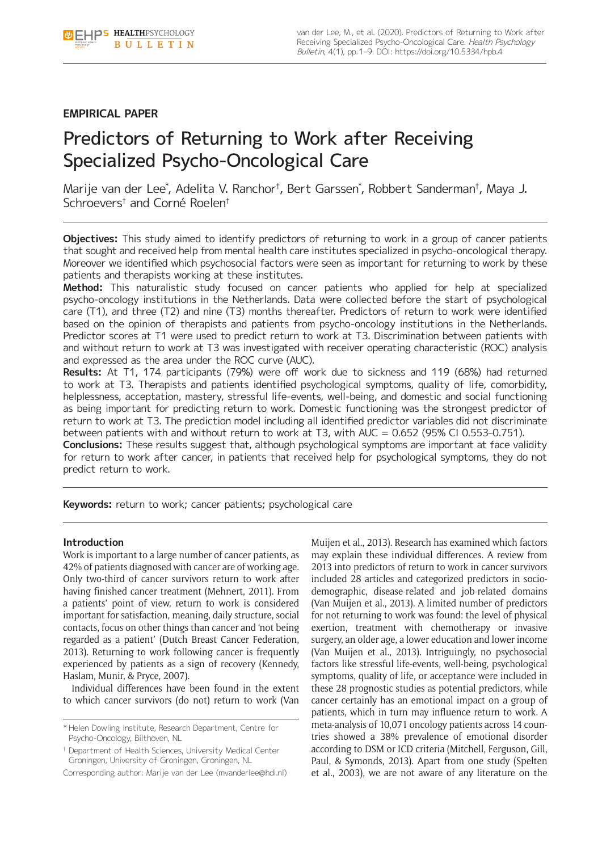# **EMPIRICAL PAPER**

# Predictors of Returning to Work after Receiving Specialized Psycho-Oncological Care

Marije van der Lee\* , Adelita V. Ranchor† , Bert Garssen\* , Robbert Sanderman† , Maya J. Schroevers† and Corné Roelen†

**Objectives:** This study aimed to identify predictors of returning to work in a group of cancer patients that sought and received help from mental health care institutes specialized in psycho-oncological therapy. Moreover we identified which psychosocial factors were seen as important for returning to work by these patients and therapists working at these institutes.

**Method:** This naturalistic study focused on cancer patients who applied for help at specialized psycho-oncology institutions in the Netherlands. Data were collected before the start of psychological care (T1), and three (T2) and nine (T3) months thereafter. Predictors of return to work were identified based on the opinion of therapists and patients from psycho-oncology institutions in the Netherlands. Predictor scores at T1 were used to predict return to work at T3. Discrimination between patients with and without return to work at T3 was investigated with receiver operating characteristic (ROC) analysis and expressed as the area under the ROC curve (AUC).

**Results:** At T1, 174 participants (79%) were off work due to sickness and 119 (68%) had returned to work at T3. Therapists and patients identified psychological symptoms, quality of life, comorbidity, helplessness, acceptation, mastery, stressful life-events, well-being, and domestic and social functioning as being important for predicting return to work. Domestic functioning was the strongest predictor of return to work at T3. The prediction model including all identified predictor variables did not discriminate between patients with and without return to work at T3, with AUC = 0.652 (95% CI 0.553–0.751).

**Conclusions:** These results suggest that, although psychological symptoms are important at face validity for return to work after cancer, in patients that received help for psychological symptoms, they do not predict return to work.

**Keywords:** return to work; cancer patients; psychological care

# **Introduction**

Work is important to a large number of cancer patients, as 42% of patients diagnosed with cancer are of working age. Only two-third of cancer survivors return to work after having finished cancer treatment (Mehnert, 2011). From a patients' point of view, return to work is considered important for satisfaction, meaning, daily structure, social contacts, focus on other things than cancer and 'not being regarded as a patient' (Dutch Breast Cancer Federation, 2013). Returning to work following cancer is frequently experienced by patients as a sign of recovery (Kennedy, Haslam, Munir, & Pryce, 2007).

Individual differences have been found in the extent to which cancer survivors (do not) return to work (Van

\* Helen Dowling Institute, Research Department, Centre for Psycho-Oncology, Bilthoven, NL

† Department of Health Sciences, University Medical Center Groningen, University of Groningen, Groningen, NL

Corresponding author: Marije van der Lee [\(mvanderlee@hdi.nl](mailto:mvanderlee@hdi.nl))

Muijen et al., 2013). Research has examined which factors may explain these individual differences. A review from 2013 into predictors of return to work in cancer survivors included 28 articles and categorized predictors in sociodemographic, disease-related and job-related domains (Van Muijen et al., 2013). A limited number of predictors for not returning to work was found: the level of physical exertion, treatment with chemotherapy or invasive surgery, an older age, a lower education and lower income (Van Muijen et al., 2013). Intriguingly, no psychosocial factors like stressful life-events, well-being, psychological symptoms, quality of life, or acceptance were included in these 28 prognostic studies as potential predictors, while cancer certainly has an emotional impact on a group of patients, which in turn may influence return to work. A meta-analysis of 10,071 oncology patients across 14 countries showed a 38% prevalence of emotional disorder according to DSM or ICD criteria (Mitchell, Ferguson, Gill, Paul, & Symonds, 2013). Apart from one study (Spelten et al., 2003), we are not aware of any literature on the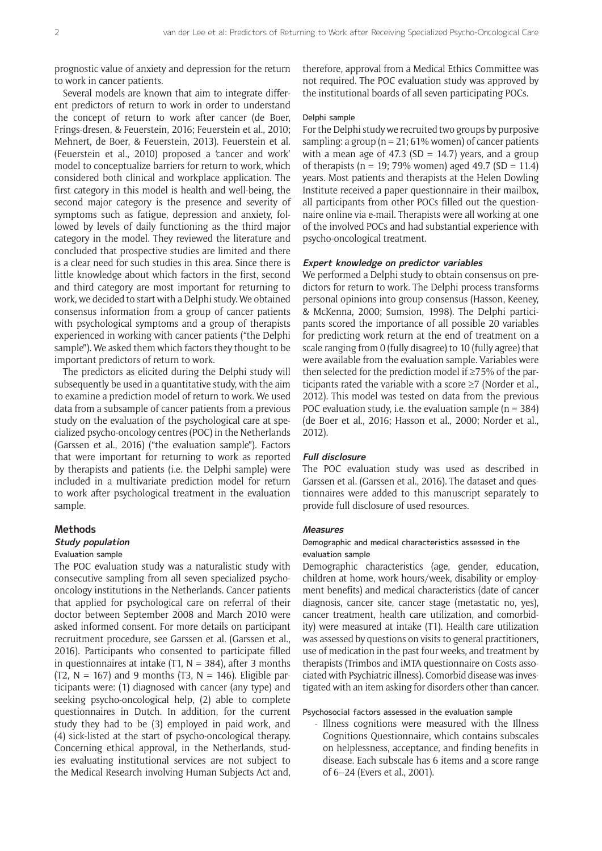prognostic value of anxiety and depression for the return to work in cancer patients.

Several models are known that aim to integrate different predictors of return to work in order to understand the concept of return to work after cancer (de Boer, Frings-dresen, & Feuerstein, 2016; Feuerstein et al., 2010; Mehnert, de Boer, & Feuerstein, 2013). Feuerstein et al. (Feuerstein et al., 2010) proposed a 'cancer and work' model to conceptualize barriers for return to work, which considered both clinical and workplace application. The first category in this model is health and well-being, the second major category is the presence and severity of symptoms such as fatigue, depression and anxiety, followed by levels of daily functioning as the third major category in the model. They reviewed the literature and concluded that prospective studies are limited and there is a clear need for such studies in this area. Since there is little knowledge about which factors in the first, second and third category are most important for returning to work, we decided to start with a Delphi study. We obtained consensus information from a group of cancer patients with psychological symptoms and a group of therapists experienced in working with cancer patients ("the Delphi sample"). We asked them which factors they thought to be important predictors of return to work.

The predictors as elicited during the Delphi study will subsequently be used in a quantitative study, with the aim to examine a prediction model of return to work. We used data from a subsample of cancer patients from a previous study on the evaluation of the psychological care at specialized psycho-oncology centres (POC) in the Netherlands (Garssen et al., 2016) ("the evaluation sample"). Factors that were important for returning to work as reported by therapists and patients (i.e. the Delphi sample) were included in a multivariate prediction model for return to work after psychological treatment in the evaluation sample.

# **Methods**

# **Study population**

# Evaluation sample

The POC evaluation study was a naturalistic study with consecutive sampling from all seven specialized psychooncology institutions in the Netherlands. Cancer patients that applied for psychological care on referral of their doctor between September 2008 and March 2010 were asked informed consent. For more details on participant recruitment procedure, see Garssen et al. (Garssen et al., 2016). Participants who consented to participate filled in questionnaires at intake  $(T1, N = 384)$ , after 3 months (T2,  $N = 167$ ) and 9 months (T3,  $N = 146$ ). Eligible participants were: (1) diagnosed with cancer (any type) and seeking psycho-oncological help, (2) able to complete questionnaires in Dutch. In addition, for the current study they had to be (3) employed in paid work, and (4) sick-listed at the start of psycho-oncological therapy. Concerning ethical approval, in the Netherlands, studies evaluating institutional services are not subject to the Medical Research involving Human Subjects Act and, therefore, approval from a Medical Ethics Committee was not required. The POC evaluation study was approved by the institutional boards of all seven participating POCs.

#### Delphi sample

For the Delphi study we recruited two groups by purposive sampling: a group ( $n = 21:61%$  women) of cancer patients with a mean age of 47.3 (SD = 14.7) years, and a group of therapists ( $n = 19$ ; 79% women) aged 49.7 (SD = 11.4) years. Most patients and therapists at the Helen Dowling Institute received a paper questionnaire in their mailbox, all participants from other POCs filled out the questionnaire online via e-mail. Therapists were all working at one of the involved POCs and had substantial experience with psycho-oncological treatment.

## **Expert knowledge on predictor variables**

We performed a Delphi study to obtain consensus on predictors for return to work. The Delphi process transforms personal opinions into group consensus (Hasson, Keeney, & McKenna, 2000; Sumsion, 1998). The Delphi participants scored the importance of all possible 20 variables for predicting work return at the end of treatment on a scale ranging from 0 (fully disagree) to 10 (fully agree) that were available from the evaluation sample. Variables were then selected for the prediction model if ≥75% of the participants rated the variable with a score ≥7 (Norder et al., 2012). This model was tested on data from the previous POC evaluation study, i.e. the evaluation sample ( $n = 384$ ) (de Boer et al., 2016; Hasson et al., 2000; Norder et al., 2012).

# **Full disclosure**

The POC evaluation study was used as described in Garssen et al. (Garssen et al., 2016). The dataset and questionnaires were added to this manuscript separately to provide full disclosure of used resources.

#### **Measures**

# Demographic and medical characteristics assessed in the evaluation sample

Demographic characteristics (age, gender, education, children at home, work hours/week, disability or employment benefits) and medical characteristics (date of cancer diagnosis, cancer site, cancer stage (metastatic no, yes), cancer treatment, health care utilization, and comorbidity) were measured at intake (T1). Health care utilization was assessed by questions on visits to general practitioners, use of medication in the past four weeks, and treatment by therapists (Trimbos and iMTA questionnaire on Costs associated with Psychiatric illness). Comorbid disease was investigated with an item asking for disorders other than cancer.

Psychosocial factors assessed in the evaluation sample

- Illness cognitions were measured with the Illness Cognitions Questionnaire, which contains subscales on helplessness, acceptance, and finding benefits in disease. Each subscale has 6 items and a score range of 6–24 (Evers et al., 2001).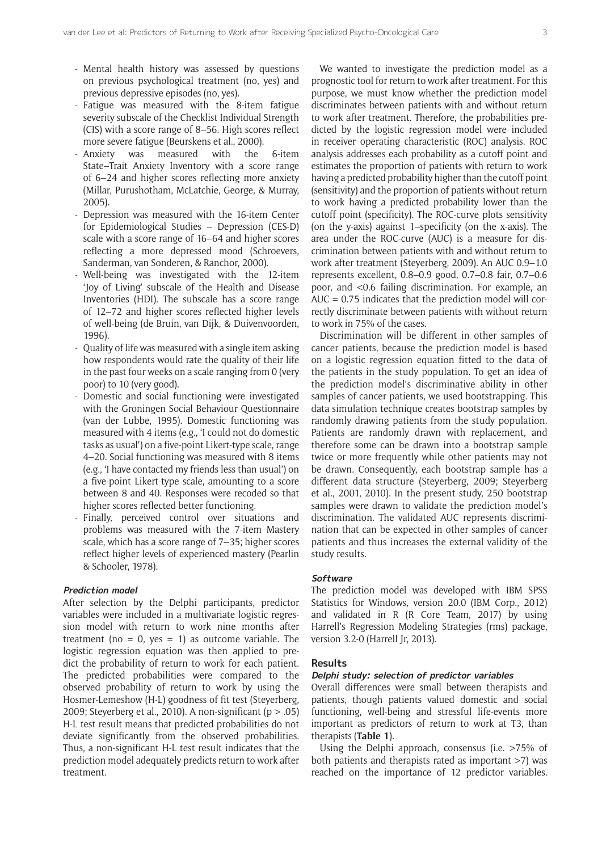- Mental health history was assessed by questions on previous psychological treatment (no, yes) and previous depressive episodes (no, yes).
- Fatigue was measured with the 8-item fatigue severity subscale of the Checklist Individual Strength (CIS) with a score range of 8–56. High scores reflect more severe fatigue (Beurskens et al., 2000).
- Anxiety was measured with the 6-item State–Trait Anxiety Inventory with a score range of 6–24 and higher scores reflecting more anxiety (Millar, Purushotham, McLatchie, George, & Murray, 2005).
- Depression was measured with the 16-item Center for Epidemiological Studies – Depression (CES-D) scale with a score range of 16–64 and higher scores reflecting a more depressed mood (Schroevers, Sanderman, van Sonderen, & Ranchor, 2000).
- Well-being was investigated with the 12-item 'Joy of Living' subscale of the Health and Disease Inventories (HDI). The subscale has a score range of 12–72 and higher scores reflected higher levels of well-being (de Bruin, van Dijk, & Duivenvoorden, 1996).
- Quality of life was measured with a single item asking how respondents would rate the quality of their life in the past four weeks on a scale ranging from 0 (very poor) to 10 (very good).
- Domestic and social functioning were investigated with the Groningen Social Behaviour Questionnaire (van der Lubbe, 1995). Domestic functioning was measured with 4 items (e.g., 'I could not do domestic tasks as usual') on a five-point Likert-type scale, range 4–20. Social functioning was measured with 8 items (e.g., 'I have contacted my friends less than usual') on a five-point Likert-type scale, amounting to a score between 8 and 40. Responses were recoded so that higher scores reflected better functioning.
- Finally, perceived control over situations and problems was measured with the 7-item Mastery scale, which has a score range of 7–35; higher scores reflect higher levels of experienced mastery (Pearlin & Schooler, 1978).

# **Prediction model**

After selection by the Delphi participants, predictor variables were included in a multivariate logistic regression model with return to work nine months after treatment (no = 0, yes = 1) as outcome variable. The logistic regression equation was then applied to predict the probability of return to work for each patient. The predicted probabilities were compared to the observed probability of return to work by using the Hosmer-Lemeshow (H-L) goodness of fit test (Steyerberg, 2009; Steyerberg et al., 2010). A non-significant ( $p > .05$ ) H-L test result means that predicted probabilities do not deviate significantly from the observed probabilities. Thus, a non-significant H-L test result indicates that the prediction model adequately predicts return to work after treatment.

We wanted to investigate the prediction model as a prognostic tool for return to work after treatment. For this purpose, we must know whether the prediction model discriminates between patients with and without return to work after treatment. Therefore, the probabilities predicted by the logistic regression model were included in receiver operating characteristic (ROC) analysis. ROC analysis addresses each probability as a cutoff point and estimates the proportion of patients with return to work having a predicted probability higher than the cutoff point (sensitivity) and the proportion of patients without return to work having a predicted probability lower than the cutoff point (specificity). The ROC-curve plots sensitivity (on the y-axis) against 1–specificity (on the x-axis). The area under the ROC-curve (AUC) is a measure for discrimination between patients with and without return to work after treatment (Steyerberg, 2009). An AUC 0.9–1.0 represents excellent, 0.8–0.9 good, 0.7–0.8 fair, 0.7–0.6 poor, and <0.6 failing discrimination. For example, an  $AUC = 0.75$  indicates that the prediction model will correctly discriminate between patients with without return to work in 75% of the cases.

Discrimination will be different in other samples of cancer patients, because the prediction model is based on a logistic regression equation fitted to the data of the patients in the study population. To get an idea of the prediction model's discriminative ability in other samples of cancer patients, we used bootstrapping. This data simulation technique creates bootstrap samples by randomly drawing patients from the study population. Patients are randomly drawn with replacement, and therefore some can be drawn into a bootstrap sample twice or more frequently while other patients may not be drawn. Consequently, each bootstrap sample has a different data structure (Steyerberg, 2009; Steyerberg et al., 2001, 2010). In the present study, 250 bootstrap samples were drawn to validate the prediction model's discrimination. The validated AUC represents discrimination that can be expected in other samples of cancer patients and thus increases the external validity of the study results.

#### **Software**

The prediction model was developed with IBM SPSS Statistics for Windows, version 20.0 (IBM Corp., 2012) and validated in R (R Core Team, 2017) by using Harrell's Regression Modeling Strategies (rms) package, version 3.2-0 (Harrell Jr, 2013).

#### **Results**

# **Delphi study: selection of predictor variables**

Overall differences were small between therapists and patients, though patients valued domestic and social functioning, well-being and stressful life-events more important as predictors of return to work at T3, than therapists (**Table 1**).

Using the Delphi approach, consensus (i.e. >75% of both patients and therapists rated as important >7) was reached on the importance of 12 predictor variables.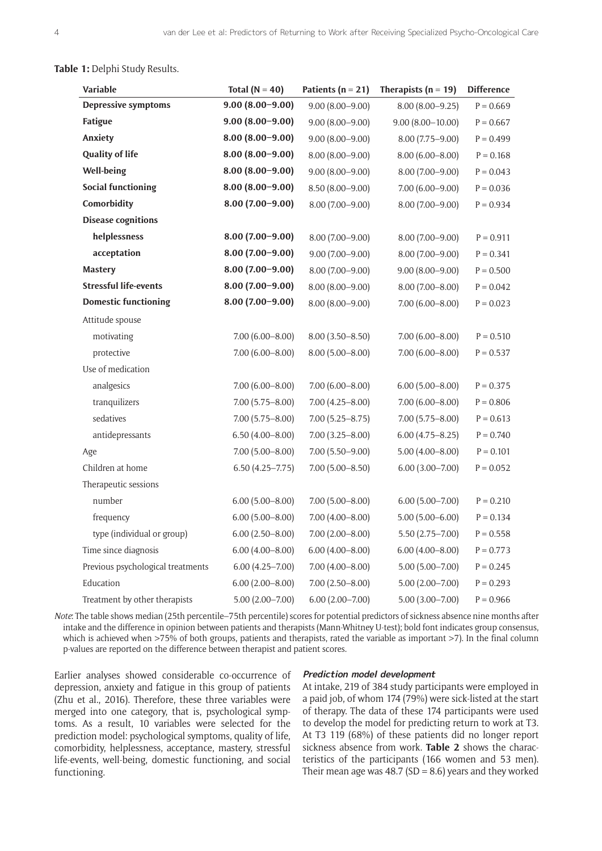**Table 1:** Delphi Study Results.

| <b>Variable</b>                   | Total ( $N = 40$ )  | Patients ( $n = 21$ ) | Therapists ( $n = 19$ ) | <b>Difference</b> |
|-----------------------------------|---------------------|-----------------------|-------------------------|-------------------|
| <b>Depressive symptoms</b>        | $9.00(8.00 - 9.00)$ | $9.00(8.00 - 9.00)$   | $8.00(8.00 - 9.25)$     | $P = 0.669$       |
| Fatigue                           | $9.00(8.00 - 9.00)$ | $9.00(8.00 - 9.00)$   | $9.00(8.00-10.00)$      | $P = 0.667$       |
| Anxiety                           | $8.00(8.00 - 9.00)$ | $9.00(8.00 - 9.00)$   | $8.00(7.75 - 9.00)$     | $P = 0.499$       |
| <b>Quality of life</b>            | $8.00(8.00 - 9.00)$ | $8.00(8.00 - 9.00)$   | $8.00(6.00 - 8.00)$     | $P = 0.168$       |
| Well-being                        | $8.00(8.00 - 9.00)$ | $9.00(8.00 - 9.00)$   | $8.00(7.00 - 9.00)$     | $P = 0.043$       |
| <b>Social functioning</b>         | $8.00(8.00 - 9.00)$ | 8.50 (8.00-9.00)      | $7.00(6.00 - 9.00)$     | $P = 0.036$       |
| Comorbidity                       | $8.00(7.00 - 9.00)$ | $8.00(7.00 - 9.00)$   | $8.00(7.00 - 9.00)$     | $P = 0.934$       |
| <b>Disease cognitions</b>         |                     |                       |                         |                   |
| helplessness                      | $8.00(7.00 - 9.00)$ | $8.00(7.00 - 9.00)$   | $8.00(7.00 - 9.00)$     | $P = 0.911$       |
| acceptation                       | $8.00(7.00-9.00)$   | $9.00(7.00 - 9.00)$   | $8.00(7.00 - 9.00)$     | $P = 0.341$       |
| <b>Mastery</b>                    | $8.00(7.00 - 9.00)$ | $8.00(7.00 - 9.00)$   | $9.00(8.00 - 9.00)$     | $P = 0.500$       |
| <b>Stressful life-events</b>      | $8.00(7.00 - 9.00)$ | $8.00(8.00 - 9.00)$   | $8.00(7.00 - 8.00)$     | $P = 0.042$       |
| <b>Domestic functioning</b>       | $8.00(7.00 - 9.00)$ | $8.00(8.00 - 9.00)$   | $7.00(6.00 - 8.00)$     | $P = 0.023$       |
| Attitude spouse                   |                     |                       |                         |                   |
| motivating                        | $7.00(6.00 - 8.00)$ | $8.00(3.50 - 8.50)$   | $7.00(6.00 - 8.00)$     | $P = 0.510$       |
| protective                        | $7.00(6.00 - 8.00)$ | $8.00(5.00 - 8.00)$   | $7.00(6.00 - 8.00)$     | $P = 0.537$       |
| Use of medication                 |                     |                       |                         |                   |
| analgesics                        | $7.00(6.00 - 8.00)$ | $7.00(6.00 - 8.00)$   | $6.00(5.00 - 8.00)$     | $P = 0.375$       |
| tranquilizers                     | $7.00(5.75 - 8.00)$ | $7.00(4.25 - 8.00)$   | $7.00(6.00 - 8.00)$     | $P = 0.806$       |
| sedatives                         | $7.00(5.75 - 8.00)$ | $7.00(5.25 - 8.75)$   | $7.00(5.75 - 8.00)$     | $P = 0.613$       |
| antidepressants                   | $6.50(4.00 - 8.00)$ | $7.00(3.25 - 8.00)$   | $6.00(4.75 - 8.25)$     | $P = 0.740$       |
| Age                               | $7.00(5.00 - 8.00)$ | $7.00(5.50 - 9.00)$   | $5.00(4.00 - 8.00)$     | $P = 0.101$       |
| Children at home                  | $6.50(4.25 - 7.75)$ | $7.00(5.00 - 8.50)$   | $6.00(3.00 - 7.00)$     | $P = 0.052$       |
| Therapeutic sessions              |                     |                       |                         |                   |
| number                            | $6.00(5.00 - 8.00)$ | $7.00(5.00 - 8.00)$   | $6.00(5.00 - 7.00)$     | $P = 0.210$       |
| frequency                         | $6.00(5.00 - 8.00)$ | $7.00(4.00 - 8.00)$   | $5.00(5.00 - 6.00)$     | $P = 0.134$       |
| type (individual or group)        | $6.00(2.50 - 8.00)$ | $7.00(2.00 - 8.00)$   | $5.50(2.75 - 7.00)$     | $P = 0.558$       |
| Time since diagnosis              | $6.00(4.00 - 8.00)$ | $6.00(4.00 - 8.00)$   | $6.00(4.00 - 8.00)$     | $P = 0.773$       |
| Previous psychological treatments | $6.00(4.25 - 7.00)$ | $7.00(4.00 - 8.00)$   | $5.00(5.00 - 7.00)$     | $P = 0.245$       |
| Education                         | $6.00(2.00 - 8.00)$ | $7.00(2.50 - 8.00)$   | $5.00(2.00 - 7.00)$     | $P = 0.293$       |
| Treatment by other therapists     | 5.00 (2.00–7.00)    | $6.00(2.00 - 7.00)$   | $5.00(3.00 - 7.00)$     | $P = 0.966$       |

*Note*: The table shows median (25th percentile–75th percentile) scores for potential predictors of sickness absence nine months after intake and the difference in opinion between patients and therapists (Mann-Whitney U-test); bold font indicates group consensus, which is achieved when >75% of both groups, patients and therapists, rated the variable as important >7). In the final column p-values are reported on the difference between therapist and patient scores.

Earlier analyses showed considerable co-occurrence of depression, anxiety and fatigue in this group of patients (Zhu et al., 2016). Therefore, these three variables were merged into one category, that is, psychological symptoms. As a result, 10 variables were selected for the prediction model: psychological symptoms, quality of life, comorbidity, helplessness, acceptance, mastery, stressful life-events, well-being, domestic functioning, and social functioning.

#### **Prediction model development**

At intake, 219 of 384 study participants were employed in a paid job, of whom 174 (79%) were sick-listed at the start of therapy. The data of these 174 participants were used to develop the model for predicting return to work at T3. At T3 119 (68%) of these patients did no longer report sickness absence from work. **Table 2** shows the characteristics of the participants (166 women and 53 men). Their mean age was  $48.7$  (SD = 8.6) years and they worked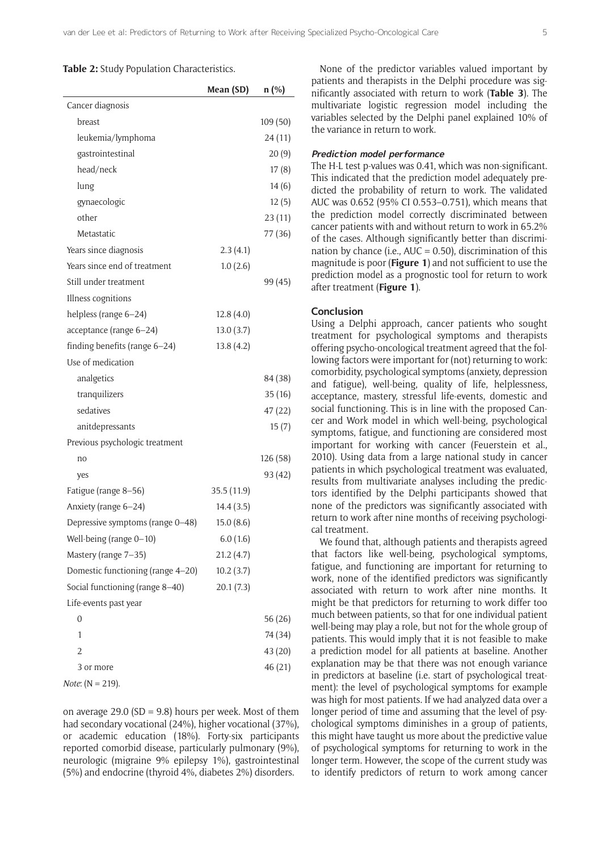#### **Table 2:** Study Population Characteristics.

|                                   | Mean (SD)   | $n$ (%)  |
|-----------------------------------|-------------|----------|
| Cancer diagnosis                  |             |          |
| breast                            |             | 109 (50) |
| leukemia/lymphoma                 |             | 24(11)   |
| gastrointestinal                  |             | 20(9)    |
| head/neck                         |             | 17(8)    |
| lung                              |             | 14(6)    |
| gynaecologic                      |             | 12(5)    |
| other                             |             | 23(11)   |
| Metastatic                        |             | 77 (36)  |
| Years since diagnosis             | 2.3(4.1)    |          |
| Years since end of treatment      | 1.0(2.6)    |          |
| Still under treatment             |             | 99 (45)  |
| Illness cognitions                |             |          |
| helpless (range 6-24)             | 12.8(4.0)   |          |
| acceptance (range 6-24)           | 13.0(3.7)   |          |
| finding benefits (range 6-24)     | 13.8(4.2)   |          |
| Use of medication                 |             |          |
| analgetics                        |             | 84 (38)  |
| tranquilizers                     |             | 35(16)   |
| sedatives                         |             | 47 (22)  |
| anitdepressants                   |             | 15(7)    |
| Previous psychologic treatment    |             |          |
| no                                |             | 126 (58) |
| yes                               |             | 93 (42)  |
| Fatigue (range 8-56)              | 35.5 (11.9) |          |
| Anxiety (range 6-24)              | 14.4(3.5)   |          |
| Depressive symptoms (range 0-48)  | 15.0(8.6)   |          |
| Well-being (range 0-10)           | 6.0(1.6)    |          |
| Mastery (range 7-35)              | 21.2(4.7)   |          |
| Domestic functioning (range 4-20) | 10.2(3.7)   |          |
| Social functioning (range 8-40)   | 20.1(7.3)   |          |
| Life-events past year             |             |          |
| 0                                 |             | 56 (26)  |
| 1                                 |             | 74 (34)  |
| $\overline{2}$                    |             | 43 (20)  |
| 3 or more                         |             | 46 (21)  |
|                                   |             |          |

*Note*: (N = 219).

on average 29.0 (SD = 9.8) hours per week. Most of them had secondary vocational (24%), higher vocational (37%), or academic education (18%). Forty-six participants reported comorbid disease, particularly pulmonary (9%), neurologic (migraine 9% epilepsy 1%), gastrointestinal (5%) and endocrine (thyroid 4%, diabetes 2%) disorders.

None of the predictor variables valued important by patients and therapists in the Delphi procedure was significantly associated with return to work (**Table 3**). The multivariate logistic regression model including the variables selected by the Delphi panel explained 10% of the variance in return to work.

# **Prediction model performance**

The H-L test p-values was 0.41, which was non-significant. This indicated that the prediction model adequately predicted the probability of return to work. The validated AUC was 0.652 (95% CI 0.553–0.751), which means that the prediction model correctly discriminated between cancer patients with and without return to work in 65.2% of the cases. Although significantly better than discrimination by chance (i.e.,  $AUC = 0.50$ ), discrimination of this magnitude is poor (**Figure 1**) and not sufficient to use the prediction model as a prognostic tool for return to work after treatment (**Figure 1**).

#### **Conclusion**

Using a Delphi approach, cancer patients who sought treatment for psychological symptoms and therapists offering psycho-oncological treatment agreed that the following factors were important for (not) returning to work: comorbidity, psychological symptoms (anxiety, depression and fatigue), well-being, quality of life, helplessness, acceptance, mastery, stressful life-events, domestic and social functioning. This is in line with the proposed Cancer and Work model in which well-being, psychological symptoms, fatigue, and functioning are considered most important for working with cancer (Feuerstein et al., 2010). Using data from a large national study in cancer patients in which psychological treatment was evaluated, results from multivariate analyses including the predictors identified by the Delphi participants showed that none of the predictors was significantly associated with return to work after nine months of receiving psychological treatment.

We found that, although patients and therapists agreed that factors like well-being, psychological symptoms, fatigue, and functioning are important for returning to work, none of the identified predictors was significantly associated with return to work after nine months. It might be that predictors for returning to work differ too much between patients, so that for one individual patient well-being may play a role, but not for the whole group of patients. This would imply that it is not feasible to make a prediction model for all patients at baseline. Another explanation may be that there was not enough variance in predictors at baseline (i.e. start of psychological treatment): the level of psychological symptoms for example was high for most patients. If we had analyzed data over a longer period of time and assuming that the level of psychological symptoms diminishes in a group of patients, this might have taught us more about the predictive value of psychological symptoms for returning to work in the longer term. However, the scope of the current study was to identify predictors of return to work among cancer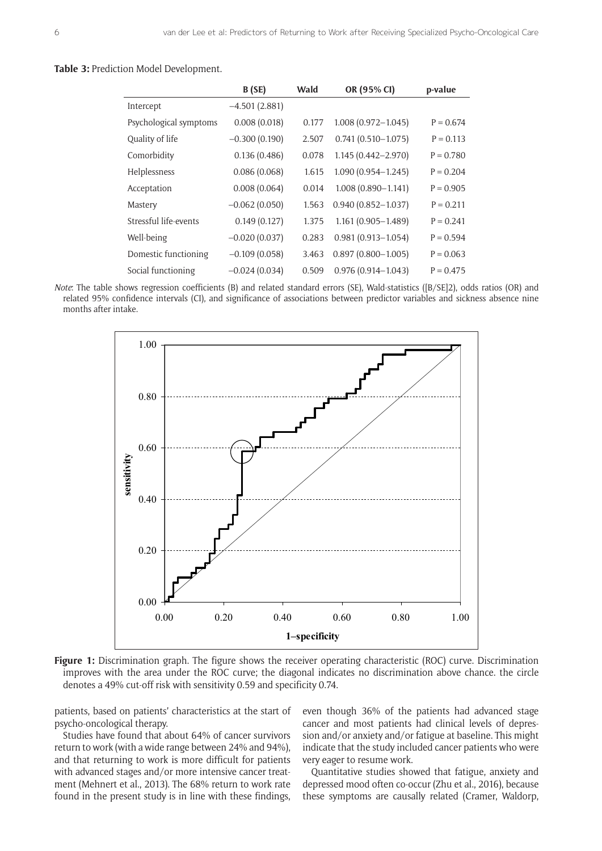#### **Table 3:** Prediction Model Development.

|                        | B (SE)          | Wald  | OR (95% CI)            | p-value     |
|------------------------|-----------------|-------|------------------------|-------------|
| Intercept              | $-4.501(2.881)$ |       |                        |             |
| Psychological symptoms | 0.008(0.018)    | 0.177 | $1.008(0.972 - 1.045)$ | $P = 0.674$ |
| Quality of life        | $-0.300(0.190)$ | 2.507 | $0.741(0.510 - 1.075)$ | $P = 0.113$ |
| Comorbidity            | 0.136(0.486)    | 0.078 | 1.145 (0.442-2.970)    | $P = 0.780$ |
| Helplessness           | 0.086(0.068)    | 1.615 | $1.090(0.954 - 1.245)$ | $P = 0.204$ |
| Acceptation            | 0.008(0.064)    | 0.014 | $1.008(0.890 - 1.141)$ | $P = 0.905$ |
| Mastery                | $-0.062(0.050)$ | 1.563 | $0.940(0.852 - 1.037)$ | $P = 0.211$ |
| Stressful life-events  | 0.149(0.127)    | 1.375 | $1.161(0.905 - 1.489)$ | $P = 0.241$ |
| Well-being             | $-0.020(0.037)$ | 0.283 | $0.981(0.913 - 1.054)$ | $P = 0.594$ |
| Domestic functioning   | $-0.109(0.058)$ | 3.463 | $0.897(0.800 - 1.005)$ | $P = 0.063$ |
| Social functioning     | $-0.024(0.034)$ | 0.509 | $0.976(0.914 - 1.043)$ | $P = 0.475$ |

*Note*: The table shows regression coefficients (B) and related standard errors (SE), Wald-statistics ([B/SE]2), odds ratios (OR) and related 95% confidence intervals (CI), and significance of associations between predictor variables and sickness absence nine months after intake.



**Figure 1:** Discrimination graph. The figure shows the receiver operating characteristic (ROC) curve. Discrimination improves with the area under the ROC curve; the diagonal indicates no discrimination above chance. the circle denotes a 49% cut-off risk with sensitivity 0.59 and specificity 0.74.

patients, based on patients' characteristics at the start of psycho-oncological therapy.

Studies have found that about 64% of cancer survivors return to work (with a wide range between 24% and 94%), and that returning to work is more difficult for patients with advanced stages and/or more intensive cancer treatment (Mehnert et al., 2013). The 68% return to work rate found in the present study is in line with these findings, even though 36% of the patients had advanced stage cancer and most patients had clinical levels of depression and/or anxiety and/or fatigue at baseline. This might indicate that the study included cancer patients who were very eager to resume work.

Quantitative studies showed that fatigue, anxiety and depressed mood often co-occur (Zhu et al., 2016), because these symptoms are causally related (Cramer, Waldorp,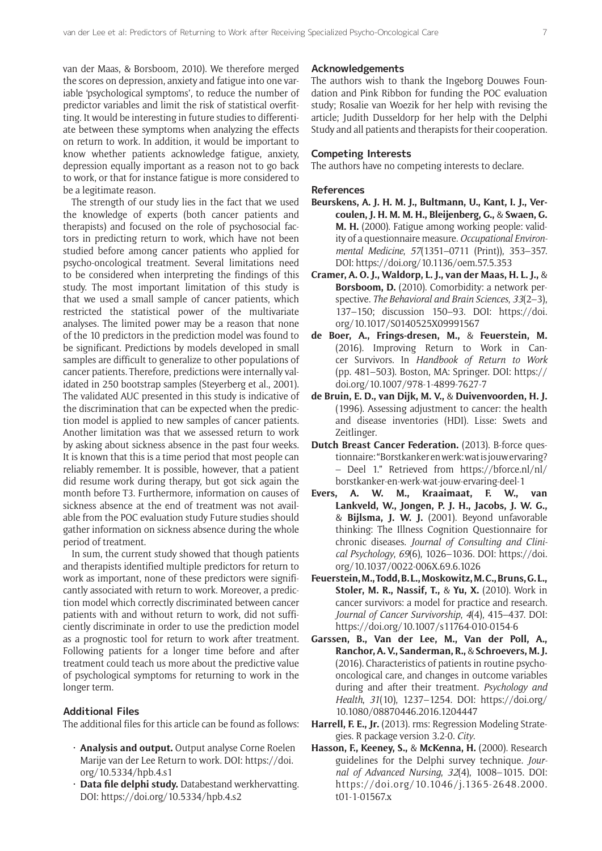van der Maas, & Borsboom, 2010). We therefore merged the scores on depression, anxiety and fatigue into one variable 'psychological symptoms', to reduce the number of predictor variables and limit the risk of statistical overfitting. It would be interesting in future studies to differentiate between these symptoms when analyzing the effects on return to work. In addition, it would be important to know whether patients acknowledge fatigue, anxiety, depression equally important as a reason not to go back to work, or that for instance fatigue is more considered to be a legitimate reason.

The strength of our study lies in the fact that we used the knowledge of experts (both cancer patients and therapists) and focused on the role of psychosocial factors in predicting return to work, which have not been studied before among cancer patients who applied for psycho-oncological treatment. Several limitations need to be considered when interpreting the findings of this study. The most important limitation of this study is that we used a small sample of cancer patients, which restricted the statistical power of the multivariate analyses. The limited power may be a reason that none of the 10 predictors in the prediction model was found to be significant. Predictions by models developed in small samples are difficult to generalize to other populations of cancer patients. Therefore, predictions were internally validated in 250 bootstrap samples (Steyerberg et al., 2001). The validated AUC presented in this study is indicative of the discrimination that can be expected when the prediction model is applied to new samples of cancer patients. Another limitation was that we assessed return to work by asking about sickness absence in the past four weeks. It is known that this is a time period that most people can reliably remember. It is possible, however, that a patient did resume work during therapy, but got sick again the month before T3. Furthermore, information on causes of sickness absence at the end of treatment was not available from the POC evaluation study Future studies should gather information on sickness absence during the whole period of treatment.

In sum, the current study showed that though patients and therapists identified multiple predictors for return to work as important, none of these predictors were significantly associated with return to work. Moreover, a prediction model which correctly discriminated between cancer patients with and without return to work, did not sufficiently discriminate in order to use the prediction model as a prognostic tool for return to work after treatment. Following patients for a longer time before and after treatment could teach us more about the predictive value of psychological symptoms for returning to work in the longer term.

## **Additional Files**

The additional files for this article can be found as follows:

- • **Analysis and output.** Output analyse Corne Roelen Marije van der Lee Return to work. DOI: [https://doi.](https://doi.org/10.5334/hpb.4.s1) [org/10.5334/hpb.4.s1](https://doi.org/10.5334/hpb.4.s1)
- · Data file delphi study. Databestand werkhervatting. DOI: <https://doi.org/10.5334/hpb.4.s2>

## **Acknowledgements**

The authors wish to thank the Ingeborg Douwes Foundation and Pink Ribbon for funding the POC evaluation study; Rosalie van Woezik for her help with revising the article; Judith Dusseldorp for her help with the Delphi Study and all patients and therapists for their cooperation.

#### **Competing Interests**

The authors have no competing interests to declare.

#### **References**

- **Beurskens, A. J. H. M. J., Bultmann, U., Kant, I. J., Vercoulen, J. H. M. M. H., Bleijenberg, G.,** & **Swaen, G. M. H.** (2000). Fatigue among working people: validity of a questionnaire measure. *Occupational Environmental Medicine*, *57*(1351–0711 (Print)), 353–357. DOI:<https://doi.org/10.1136/oem.57.5.353>
- **Cramer, A. O. J., Waldorp, L. J., van der Maas, H. L. J.,** & **Borsboom, D.** (2010). Comorbidity: a network perspective. *The Behavioral and Brain Sciences*, *33*(2–3), 137–150; discussion 150–93. DOI: [https://doi.](https://doi.org/10.1017/S0140525X09991567) [org/10.1017/S0140525X09991567](https://doi.org/10.1017/S0140525X09991567)
- **de Boer, A., Frings-dresen, M.,** & **Feuerstein, M.**  (2016). Improving Return to Work in Cancer Survivors. In *Handbook of Return to Work* (pp. 481–503). Boston, MA: Springer. DOI: [https://](https://doi.org/10.1007/978-1-4899-7627-7) [doi.org/10.1007/978-1-4899-7627-7](https://doi.org/10.1007/978-1-4899-7627-7)
- **de Bruin, E. D., van Dijk, M. V.,** & **Duivenvoorden, H. J.**  (1996). Assessing adjustment to cancer: the health and disease inventories (HDI). Lisse: Swets and Zeitlinger.
- **Dutch Breast Cancer Federation.** (2013). B-force questionnaire: "Borstkanker en werk: wat is jouw ervaring? – Deel 1." Retrieved from [https://bforce.nl/nl/](https://bforce.nl/nl/borstkanker-en-werk-wat-jouw-ervaring-deel-1) [borstkanker-en-werk-wat-jouw-ervaring-deel-1](https://bforce.nl/nl/borstkanker-en-werk-wat-jouw-ervaring-deel-1)
- **Evers, A. W. M., Kraaimaat, F. W., van Lankveld, W., Jongen, P. J. H., Jacobs, J. W. G.,** & **Bijlsma, J. W. J.** (2001). Beyond unfavorable thinking: The Illness Cognition Questionnaire for chronic diseases. *Journal of Consulting and Clinical Psychology*, *69*(6), 1026–1036. DOI: [https://doi.](https://doi.org/10.1037/0022-006X.69.6.1026) [org/10.1037/0022-006X.69.6.1026](https://doi.org/10.1037/0022-006X.69.6.1026)
- **Feuerstein, M., Todd, B. L., Moskowitz, M. C., Bruns, G. L., Stoler, M. R., Nassif, T.,** & **Yu, X.** (2010). Work in cancer survivors: a model for practice and research. *Journal of Cancer Survivorship*, *4*(4), 415–437. DOI: <https://doi.org/10.1007/s11764-010-0154-6>
- **Garssen, B., Van der Lee, M., Van der Poll, A., Ranchor, A. V., Sanderman, R.,** & **Schroevers, M. J.** (2016). Characteristics of patients in routine psychooncological care, and changes in outcome variables during and after their treatment. *Psychology and Health*, *31*(10), 1237–1254. DOI: [https://doi.org/](https://doi.org/10.1080/08870446.2016.1204447) [10.1080/08870446.2016.1204447](https://doi.org/10.1080/08870446.2016.1204447)
- **Harrell, F. E., Jr.** (2013). rms: Regression Modeling Strategies. R package version 3.2-0. *City*.
- **Hasson, F., Keeney, S.,** & **McKenna, H.** (2000). Research guidelines for the Delphi survey technique. *Journal of Advanced Nursing*, *32*(4), 1008–1015. DOI: [https://doi.org/10.1046/j.1365-2648.2000.](https://doi.org/10.1046/j.1365-2648.2000.t01-1-01567.x) [t01-1-01567.x](https://doi.org/10.1046/j.1365-2648.2000.t01-1-01567.x)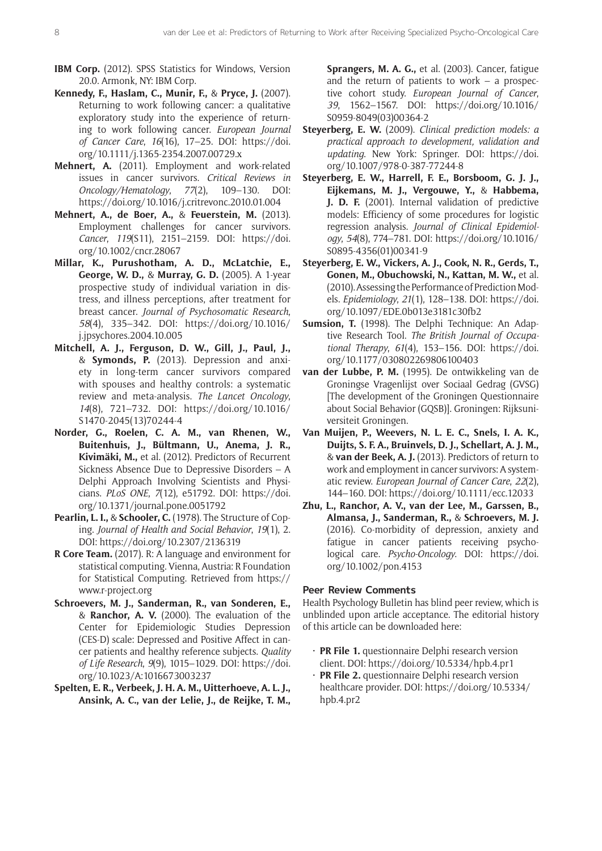- **IBM Corp.** (2012). SPSS Statistics for Windows, Version 20.0. Armonk, NY: IBM Corp.
- **Kennedy, F., Haslam, C., Munir, F.,** & **Pryce, J.** (2007). Returning to work following cancer: a qualitative exploratory study into the experience of returning to work following cancer. *European Journal of Cancer Care*, *16*(16), 17–25. DOI: [https://doi.](https://doi.org/10.1111/j.1365-2354.2007.00729.x) [org/10.1111/j.1365-2354.2007.00729.x](https://doi.org/10.1111/j.1365-2354.2007.00729.x)
- **Mehnert, A.** (2011). Employment and work-related issues in cancer survivors. *Critical Reviews in Oncology/Hematology*, *77*(2), 109–130. DOI: <https://doi.org/10.1016/j.critrevonc.2010.01.004>
- **Mehnert, A., de Boer, A.,** & **Feuerstein, M.** (2013). Employment challenges for cancer survivors. *Cancer*, *119*(S11), 2151–2159. DOI: [https://doi.](https://doi.org/10.1002/cncr.28067) [org/10.1002/cncr.28067](https://doi.org/10.1002/cncr.28067)
- **Millar, K., Purushotham, A. D., McLatchie, E., George, W. D.,** & **Murray, G. D.** (2005). A 1-year prospective study of individual variation in distress, and illness perceptions, after treatment for breast cancer. *Journal of Psychosomatic Research*, *58*(4), 335–342. DOI: [https://doi.org/10.1016/](https://doi.org/10.1016/j.jpsychores.2004.10.005) [j.jpsychores.2004.10.005](https://doi.org/10.1016/j.jpsychores.2004.10.005)
- **Mitchell, A. J., Ferguson, D. W., Gill, J., Paul, J.,** & **Symonds, P.** (2013). Depression and anxiety in long-term cancer survivors compared with spouses and healthy controls: a systematic review and meta-analysis. *The Lancet Oncology*, *14*(8), 721–732. DOI: [https://doi.org/10.1016/](https://doi.org/10.1016/S1470-2045(13)70244-4) [S1470-2045\(13\)70244-4](https://doi.org/10.1016/S1470-2045(13)70244-4)
- **Norder, G., Roelen, C. A. M., van Rhenen, W., Buitenhuis, J., Bültmann, U., Anema, J. R., Kivimäki, M.,** et al. (2012). Predictors of Recurrent Sickness Absence Due to Depressive Disorders – A Delphi Approach Involving Scientists and Physicians. *PLoS ONE*, *7*(12), e51792. DOI: [https://doi.](https://doi.org/10.1371/journal.pone.0051792) [org/10.1371/journal.pone.0051792](https://doi.org/10.1371/journal.pone.0051792)
- **Pearlin, L. I.,** & **Schooler, C.** (1978). The Structure of Coping. *Journal of Health and Social Behavior*, *19*(1), 2. DOI: <https://doi.org/10.2307/2136319>
- **R Core Team.** (2017). R: A language and environment for statistical computing. Vienna, Austria: R Foundation for Statistical Computing. Retrieved from [https://](https://www.r-project.org) [www.r-project.org](https://www.r-project.org)
- **Schroevers, M. J., Sanderman, R., van Sonderen, E.,** & **Ranchor, A. V.** (2000). The evaluation of the Center for Epidemiologic Studies Depression (CES-D) scale: Depressed and Positive Affect in cancer patients and healthy reference subjects. *Quality of Life Research*, *9*(9), 1015–1029. DOI: [https://doi.](https://doi.org/10.1023/A:1016673003237) [org/10.1023/A:1016673003237](https://doi.org/10.1023/A:1016673003237)
- **Spelten, E. R., Verbeek, J. H. A. M., Uitterhoeve, A. L. J., Ansink, A. C., van der Lelie, J., de Reijke, T. M.,**

**Sprangers, M. A. G.,** et al. (2003). Cancer, fatigue and the return of patients to work – a prospective cohort study. *European Journal of Cancer*, *39*, 1562–1567. DOI: [https://doi.org/10.1016/](https://doi.org/10.1016/S0959-8049(03)00364-2) [S0959-8049\(03\)00364-2](https://doi.org/10.1016/S0959-8049(03)00364-2)

- **Steyerberg, E. W.** (2009). *Clinical prediction models: a practical approach to development, validation and updating*. New York: Springer. DOI: [https://doi.](https://doi.org/10.1007/978-0-387-77244-8) [org/10.1007/978-0-387-77244-8](https://doi.org/10.1007/978-0-387-77244-8)
- **Steyerberg, E. W., Harrell, F. E., Borsboom, G. J. J., Eijkemans, M. J., Vergouwe, Y.,** & **Habbema, J. D. F.** (2001). Internal validation of predictive models: Efficiency of some procedures for logistic regression analysis. *Journal of Clinical Epidemiology*, *54*(8), 774–781. DOI: [https://doi.org/10.1016/](https://doi.org/10.1016/S0895-4356(01)00341-9) [S0895-4356\(01\)00341-9](https://doi.org/10.1016/S0895-4356(01)00341-9)
- **Steyerberg, E. W., Vickers, A. J., Cook, N. R., Gerds, T., Gonen, M., Obuchowski, N., Kattan, M. W.,** et al. (2010). Assessing the Performance of Prediction Models. *Epidemiology*, *21*(1), 128–138. DOI: [https://doi.](https://doi.org/10.1097/EDE.0b013e3181c30fb2) [org/10.1097/EDE.0b013e3181c30fb2](https://doi.org/10.1097/EDE.0b013e3181c30fb2)
- **Sumsion, T.** (1998). The Delphi Technique: An Adaptive Research Tool. *The British Journal of Occupational Therapy*, *61*(4), 153–156. DOI: [https://doi.](https://doi.org/10.1177/030802269806100403) [org/10.1177/030802269806100403](https://doi.org/10.1177/030802269806100403)
- **van der Lubbe, P. M.** (1995). De ontwikkeling van de Groningse Vragenlijst over Sociaal Gedrag (GVSG) [The development of the Groningen Questionnaire about Social Behavior (GQSB)]. Groningen: Rijksuniversiteit Groningen.
- **Van Muijen, P., Weevers, N. L. E. C., Snels, I. A. K., Duijts, S. F. A., Bruinvels, D. J., Schellart, A. J. M.,** & **van der Beek, A. J.** (2013). Predictors of return to work and employment in cancer survivors: A systematic review. *European Journal of Cancer Care*, *22*(2), 144–160. DOI: <https://doi.org/10.1111/ecc.12033>
- **Zhu, L., Ranchor, A. V., van der Lee, M., Garssen, B., Almansa, J., Sanderman, R.,** & **Schroevers, M. J.** (2016). Co-morbidity of depression, anxiety and fatigue in cancer patients receiving psychological care. *Psycho-Oncology*. DOI: [https://doi.](https://doi.org/10.1002/pon.4153) [org/10.1002/pon.4153](https://doi.org/10.1002/pon.4153)

# **Peer Review Comments**

Health Psychology Bulletin has blind peer review, which is unblinded upon article acceptance. The editorial history of this article can be downloaded here:

- PR File 1. questionnaire Delphi research version client. DOI:<https://doi.org/10.5334/hpb.4.pr1>
- • **PR File 2.** questionnaire Delphi research version healthcare provider. DOI: [https://doi.org/10.5334/](https://doi.org/10.5334/hpb.4.pr2) [hpb.4.pr2](https://doi.org/10.5334/hpb.4.pr2)